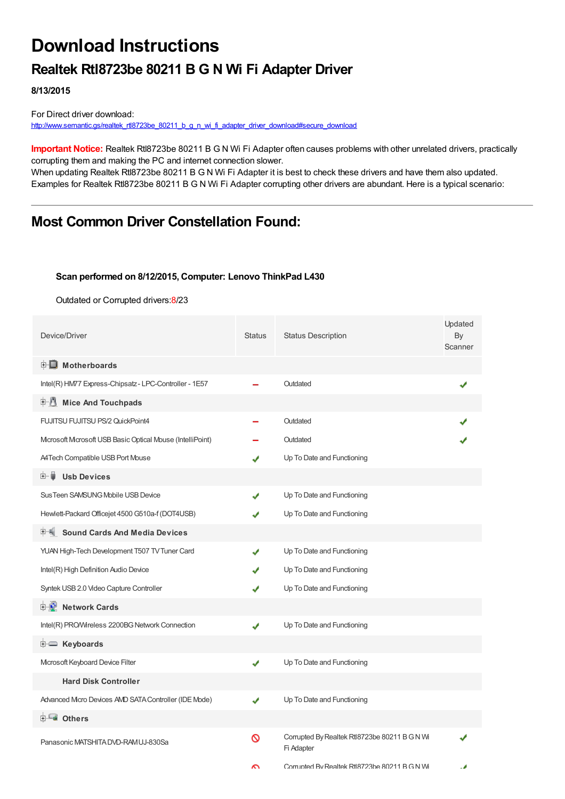# **Download Instructions**

### **Realtek Rtl8723be 80211 B G N Wi Fi Adapter Driver**

**8/13/2015**

For Direct driver download: [http://www.semantic.gs/realtek\\_rtl8723be\\_80211\\_b\\_g\\_n\\_wi\\_fi\\_adapter\\_driver\\_download#secure\\_download](http://www.semantic.gs/realtek_rtl8723be_80211_b_g_n_wi_fi_adapter_driver_download#secure_download)

**Important Notice:** Realtek Rtl8723be 80211 B G N Wi Fi Adapter often causes problems with other unrelated drivers, practically corrupting them and making the PC and internet connection slower.

When updating Realtek Rtl8723be 80211 B G N Wi Fi Adapter it is best to check these drivers and have them also updated. Examples for Realtek Rtl8723be 80211 B G N Wi Fi Adapter corrupting other drivers are abundant. Here is a typical scenario:

### **Most Common Driver Constellation Found:**

#### **Scan performed on 8/12/2015, Computer: Lenovo ThinkPad L430**

Outdated or Corrupted drivers:8/23

| Device/Driver                                            | <b>Status</b> | <b>Status Description</b>                                   | Updated<br>By<br>Scanner |
|----------------------------------------------------------|---------------|-------------------------------------------------------------|--------------------------|
| <b>E</b> Motherboards                                    |               |                                                             |                          |
| Intel(R) HM77 Express-Chipsatz - LPC-Controller - 1E57   |               | Outdated                                                    |                          |
| 中心 Mice And Touchpads                                    |               |                                                             |                          |
| FUJITSU FUJITSU PS/2 QuickPoint4                         |               | Outdated                                                    |                          |
| Mcrosoft Mcrosoft USB Basic Optical Mouse (IntelliPoint) |               | Outdated                                                    |                          |
| A4Tech Compatible USB Port Mouse                         |               | Up To Date and Functioning                                  |                          |
| <b>Usb Devices</b><br>E- 5                               |               |                                                             |                          |
| Sus Teen SAMSUNG Mobile USB Device                       |               | Up To Date and Functioning                                  |                          |
| Hewlett-Packard Officejet 4500 G510a-f (DOT4USB)         |               | Up To Date and Functioning                                  |                          |
| <b>E.K.</b> Sound Cards And Media Devices                |               |                                                             |                          |
| YUAN High-Tech Development T507 TV Tuner Card            | ✔             | Up To Date and Functioning                                  |                          |
| Intel(R) High Definition Audio Device                    |               | Up To Date and Functioning                                  |                          |
| Syntek USB 2.0 Video Capture Controller                  |               | Up To Date and Functioning                                  |                          |
| <b>E-D</b> Network Cards                                 |               |                                                             |                          |
| Intel(R) PRO/Wireless 2200BG Network Connection          | ✔             | Up To Date and Functioning                                  |                          |
| <b>E</b> Keyboards                                       |               |                                                             |                          |
| Microsoft Keyboard Device Filter                         | ✔             | Up To Date and Functioning                                  |                          |
| <b>Hard Disk Controller</b>                              |               |                                                             |                          |
| Advanced Micro Devices AVD SATA Controller (IDE Mode)    | ✔             | Up To Date and Functioning                                  |                          |
| <b>E</b> Others                                          |               |                                                             |                          |
| Panasonic MATSHITA DVD-RAM UJ-830Sa                      | ଷ             | Corrupted By Realtek Rtl8723be 80211 B G N Wi<br>Fi Adapter |                          |
|                                                          | ົ             | Corn inted By Realtek Rtl8723he 80211 B G N Wi              |                          |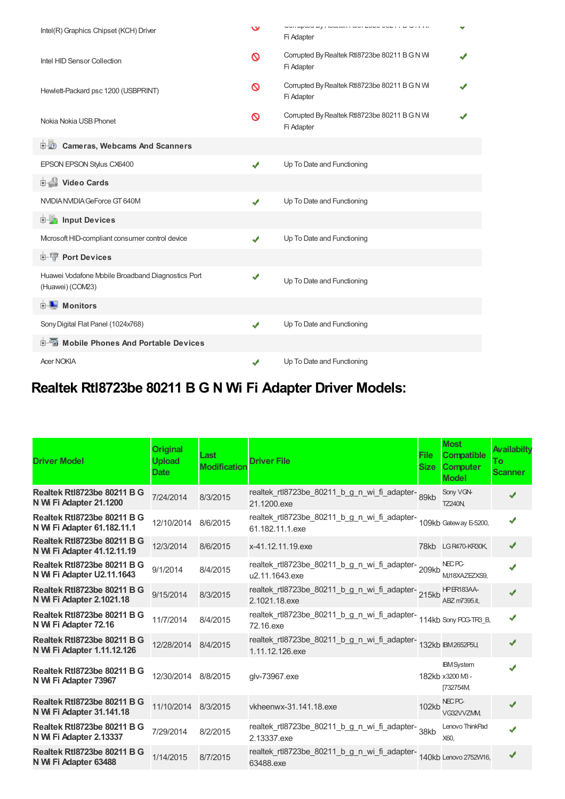| Intel(R) Graphics Chipset (KCH) Driver                                | $\checkmark$ | <b>CONTRADICTLY INTO CONTRACT THE CONDITIONS OF A VISIT OF A VISIT OF A VISIT OF CONDITIONS</b><br>Fi Adapter |  |
|-----------------------------------------------------------------------|--------------|---------------------------------------------------------------------------------------------------------------|--|
| Intel HID Sensor Collection                                           | ଷ            | Corrupted By Realtek Rtl8723be 80211 B G N Wi<br>Fi Adapter                                                   |  |
| Hewlett-Packard psc 1200 (USBPRINT)                                   | ര            | Corrupted By Realtek Rtl8723be 80211 B G N Wi<br>Fi Adapter                                                   |  |
| Nokia Nokia USB Phonet                                                | ଷ            | Corrupted By Realtek Rtl8723be 80211 B G N Wi<br>Fi Adapter                                                   |  |
| <b>Cameras, Webcams And Scanners</b><br>由心                            |              |                                                                                                               |  |
| EPSON EPSON Stylus CX6400                                             | ✔            | Up To Date and Functioning                                                                                    |  |
| Video Cards                                                           |              |                                                                                                               |  |
| NVIDIA NVIDIA GeForce GT 640M                                         | ✔            | Up To Date and Functioning                                                                                    |  |
| <b>Devices</b> Input Devices                                          |              |                                                                                                               |  |
| Mcrosoft HID-compliant consumer control device                        | J            | Up To Date and Functioning                                                                                    |  |
| <b>E-TP</b> Port Devices                                              |              |                                                                                                               |  |
| Huawei Vodafone Mobile Broadband Diagnostics Port<br>(Huawei) (COM23) | ✔            | Up To Date and Functioning                                                                                    |  |
| <b>D</b> Monitors                                                     |              |                                                                                                               |  |
| Sony Digital Flat Panel (1024x768)                                    | ✔            | Up To Date and Functioning                                                                                    |  |
| <b>E-</b> Mobile Phones And Portable Devices                          |              |                                                                                                               |  |
| <b>Acer NOKIA</b>                                                     | ✔            | Up To Date and Functioning                                                                                    |  |

## **Realtek Rtl8723be 80211 B G N Wi Fi Adapter Driver Models:**

| <b>Driver Model</b>                                               | <b>Original</b><br><b>Upload</b><br><b>Date</b> | Last<br><b>Modification</b> | <b>Driver File</b>                                                                       | <b>File</b><br><b>Size</b> | <b>Most</b><br><b>Compatible</b><br><b>Computer</b><br><b>Model</b> | Availabilty<br><b>To</b><br><b>Scanner</b> |
|-------------------------------------------------------------------|-------------------------------------------------|-----------------------------|------------------------------------------------------------------------------------------|----------------------------|---------------------------------------------------------------------|--------------------------------------------|
| Realtek Rtl8723be 80211 B G<br>N Wi Fi Adapter 21.1200            | 7/24/2014                                       | 8/3/2015                    | realtek_rtl8723be_80211_b_g_n_wi_fi_adapter-<br>89kb<br>21.1200.exe                      |                            | Sony VGN-<br><b>TZ240N</b>                                          | ✔                                          |
| Realtek Rtl8723be 80211 B G<br>N Wi Fi Adapter 61.182.11.1        | 12/10/2014                                      | 8/6/2015                    | realtek_rtl8723be_80211_b_g_n_wi_fi_adapter-<br>109kb Gateway E-5200,<br>61.182.11.1.exe |                            |                                                                     | ✔                                          |
| <b>Realtek Rtl8723be 80211 B G</b><br>N Wi Fi Adapter 41.12.11.19 | 12/3/2014                                       | 8/6/2015                    | x-41.12.11.19.exe                                                                        |                            | 78kb LGR470-KR30K,                                                  | ✔                                          |
| Realtek Rtl8723be 80211 B G<br>N Wi Fi Adapter U2.11.1643         | 9/1/2014                                        | 8/4/2015                    | realtek_rtl8723be_80211_b_g_n_wi_fi_adapter-209kb<br>u2.11.1643.exe                      |                            | NEC <sub>PC</sub><br>MJ18XAZEZXS9,                                  | J                                          |
| Realtek Rtl8723be 80211 B G<br>N Wi Fi Adapter 2.1021.18          | 9/15/2014                                       | 8/3/2015                    | realtek_rtl8723be_80211_b_g_n_wi_fi_adapter-215kb<br>2.1021.18.exe                       |                            | <b>HPER183AA-</b><br>ABZ m7395.it,                                  |                                            |
| <b>Realtek Rtl8723be 80211 B G</b><br>N Wi Fi Adapter 72.16       | 11/7/2014                                       | 8/4/2015                    | realtek_rtl8723be_80211_b_g_n_wi_fi_adapter-<br>114kb Sony PCG-TR3_B,<br>72.16.exe       |                            |                                                                     | J                                          |
| Realtek Rtl8723be 80211 B G<br>N Wi Fi Adapter 1.11.12.126        | 12/28/2014                                      | 8/4/2015                    | realtek_rtl8723be_80211_b_g_n_wi_fi_adapter-<br>132kb IBM2652P5U,<br>1.11.12.126.exe     |                            |                                                                     | ✔                                          |
| <b>Realtek Rtl8723be 80211 B G</b><br>N Wi Fi Adapter 73967       | 12/30/2014                                      | 8/8/2015                    | glv-73967.exe                                                                            |                            | <b>IBM</b> System<br>182kb x3200 MB-<br>[732754M]                   |                                            |
| Realtek Rtl8723be 80211 B G<br>N Wi Fi Adapter 31.141.18          | 11/10/2014                                      | 8/3/2015                    | vkheenwx-31.141.18.exe                                                                   | 102kb                      | NEC <sub>PC</sub><br>VG32VVZMM                                      |                                            |
| <b>Realtek Rtl8723be 80211 B G</b><br>N Wi Fi Adapter 2.13337     | 7/29/2014                                       | 8/2/2015                    | realtek_rtl8723be_80211_b_g_n_wi_fi_adapter-<br>38kb<br>2.13337.exe                      |                            | Lenovo ThinkPad<br>X60,                                             |                                            |
| Realtek Rtl8723be 80211 B G<br>N Wi Fi Adapter 63488              | 1/14/2015                                       | 8/7/2015                    | realtek_rtl8723be_80211_b_g_n_wi_fi_adapter-<br>140kb Lenovo 2752W16,<br>63488.exe       |                            |                                                                     | ✔                                          |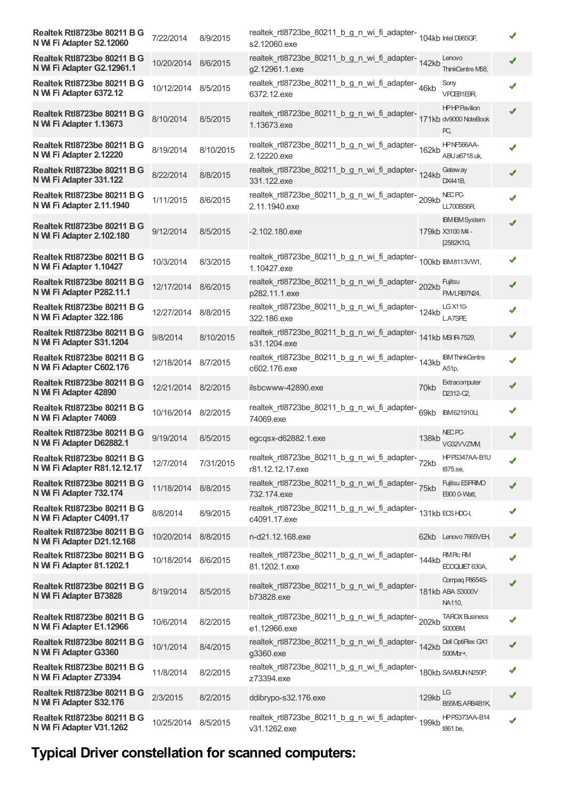| Realtek Rtl8723be 80211 B G<br>N Wi Fi Adapter S2.12060       | 7/22/2014           | 8/9/2015  | realtek_rtl8723be_80211_b_g_n_wi_fi_adapter-<br>104kb Intel D965GF,<br>s2.12060.exe  |              |                                                        |   |
|---------------------------------------------------------------|---------------------|-----------|--------------------------------------------------------------------------------------|--------------|--------------------------------------------------------|---|
| Realtek Rtl8723be 80211 B G<br>N Wi Fi Adapter G2.12961.1     | 10/20/2014 8/6/2015 |           | realtek_rtl8723be_80211_b_g_n_wi_fi_adapter-<br>142kb<br>g2.12961.1.exe              |              | Lenovo<br>ThinkCentre M58,                             |   |
| Realtek Rtl8723be 80211 B G<br>N Wi Fi Adapter 6372.12        | 10/12/2014 8/5/2015 |           | realtek_rtl8723be_80211_b_g_n_wi_fi_adapter-46kb<br>6372.12.exe                      |              | Sony<br>VPCEB1E9R                                      |   |
| Realtek Rtl8723be 80211 B G<br>N Wi Fi Adapter 1.13673        | 8/10/2014           | 8/5/2015  | realtek_rtl8723be_80211_b_g_n_wi_fi_adapter-<br>171kb dv9000 NoteBook<br>1.13673.exe |              | <b>HPHPPavilion</b><br>PC,                             |   |
| <b>Realtek Rtl8723be 80211 B G</b><br>N Wi Fi Adapter 2.12220 | 8/19/2014           | 8/10/2015 | realtek_rtl8723be_80211_b_g_n_wi_fi_adapter-<br>162kb<br>2.12220.exe                 |              | HPNF566AA-<br>ABU a6718.uk,                            |   |
| Realtek Rtl8723be 80211 B G<br>N Wi Fi Adapter 331.122        | 8/22/2014           | 8/8/2015  | realtek_rtl8723be_80211_b_g_n_wi_fi_adapter-<br>124kb<br>331.122.exe                 |              | Gateway<br>DX441B,                                     |   |
| Realtek Rtl8723be 80211 B G<br>N Wi Fi Adapter 2.11.1940      | 1/11/2015           | 8/6/2015  | realtek_rtl8723be_80211_b_g_n_wi_fi_adapter-209kb<br>2.11.1940.exe                   |              | NEC PC-<br>LL700BS6R                                   |   |
| Realtek Rtl8723be 80211 B G<br>N Wi Fi Adapter 2.102.180      | 9/12/2014           | 8/5/2015  | $-2.102.180$ .exe                                                                    |              | <b>IBM IBM System</b><br>179kb X3100 M4 -<br>[2582K1G, |   |
| Realtek Rtl8723be 80211 B G<br>N Wi Fi Adapter 1.10427        | 10/3/2014           | 8/3/2015  | realtek_rtl8723be_80211_b_g_n_wi_fi_adapter-<br>100kb BM8113VW1,<br>1.10427.exe      |              |                                                        |   |
| Realtek Rtl8723be 80211 B G<br>N Wi Fi Adapter P282.11.1      | 12/17/2014          | 8/6/2015  | realtek_rtl8723be_80211_b_g_n_wi_fi_adapter-202kb<br>p282.11.1.exe                   |              | Fujitsu<br>FM/LRB7N24,                                 |   |
| Realtek Rtl8723be 80211 B G<br>N Wi Fi Adapter 322.186        | 12/27/2014          | 8/8/2015  | realtek_rtl8723be_80211_b_g_n_wi_fi_adapter-<br>124kb<br>322.186.exe                 |              | LG X110-<br>L.A7SPE                                    |   |
| Realtek Rtl8723be 80211 B G<br>N Wi Fi Adapter S31.1204       | 9/8/2014            | 8/10/2015 | realtek_rtl8723be_80211_b_g_n_wi_fi_adapter-141kb MSIR-7529,<br>s31.1204.exe         |              |                                                        |   |
| Realtek Rtl8723be 80211 B G<br>N Wi Fi Adapter C602.176       | 12/18/2014          | 8/7/2015  | realtek_rtl8723be_80211_b_g_n_wi_fi_adapter-<br>143kb<br>c602.176.exe                |              | <b>IBM ThinkCentre</b><br>A51p,                        |   |
| Realtek Rtl8723be 80211 B G<br>N Wi Fi Adapter 42890          | 12/21/2014 8/2/2015 |           | ilsbcwww-42890.exe                                                                   | 70kb         | Extracomputer<br>D2312-C2,                             |   |
| Realtek Rtl8723be 80211 B G<br>N Wi Fi Adapter 74069          | 10/16/2014 8/2/2015 |           | realtek_rtl8723be_80211_b_g_n_wi_fi_adapter-69kb<br>74069.exe                        |              | IBM 621910U,                                           |   |
| Realtek Rtl8723be 80211 B G<br>N Wi Fi Adapter D62882.1       | 9/19/2014           | 8/5/2015  | egcqsx-d62882.1.exe                                                                  | <b>138kb</b> | NEC <sub>PC</sub><br>VG32VVZMM                         |   |
| Realtek Rtl8723be 80211 B G<br>N Wi Fi Adapter R81.12.12.17   | 12/7/2014           | 7/31/2015 | realtek_rtl8723be_80211_b_g_n_wi_fi_adapter-<br>72kb<br>r81.12.12.17.exe             |              | HPPS347AA-B1U<br>t875.se,                              | ✔ |
| Realtek Rtl8723be 80211 B G<br>N Wi Fi Adapter 732.174        | 11/18/2014          | 8/8/2015  | realtek_rtl8723be_80211_b_g_n_wi_fi_adapter-<br>732.174.exe                          |              | Fujitsu ESPRIMO<br>E900 0-Watt,                        |   |
| Realtek Rtl8723be 80211 B G<br>N Wi Fi Adapter C4091.17       | 8/8/2014            | 8/9/2015  | realtek_rtl8723be_80211_b_g_n_wi_fi_adapter-<br>131kb ECS HDC-l,<br>c4091.17.exe     |              |                                                        |   |
| Realtek Rtl8723be 80211 B G<br>N Wi Fi Adapter D21.12.168     | 10/20/2014          | 8/8/2015  | n-d21.12.168.exe                                                                     |              | 62kb Lenovo 7665VEH,                                   |   |
| Realtek Rtl8723be 80211 B G<br>N Wi Fi Adapter 81.1202.1      | 10/18/2014          | 8/6/2015  | realtek_rtl8723be_80211_b_g_n_wi_fi_adapter-<br>144kb<br>81.1202.1.exe               |              | <b>RMPIc RM</b><br>ECOQUIET 630A,                      |   |
| Realtek Rtl8723be 80211 B G<br>N Wi Fi Adapter B73828         | 8/19/2014           | 8/5/2015  | realtek_rtl8723be_80211_b_g_n_wi_fi_adapter-<br>181kb ABA S3000V<br>b73828.exe       |              | Compaq P8654S-<br>NA110,                               |   |
| Realtek Rtl8723be 80211 B G<br>N Wi Fi Adapter E1.12966       | 10/6/2014           | 8/2/2015  | realtek_rtl8723be_80211_b_g_n_wi_fi_adapter-202kb<br>e1.12966.exe                    |              | <b>TAROX Business</b><br>5000BM                        |   |
| Realtek Rtl8723be 80211 B G<br>N Wi Fi Adapter G3360          | 10/1/2014           | 8/4/2015  | realtek_rtl8723be_80211_b_g_n_wi_fi_adapter-<br>142kb<br>g3360.exe                   |              | Dell OptiPlex GX1<br>500Mbr+,                          |   |
| Realtek Rtl8723be 80211 B G<br>N Wi Fi Adapter Z73394         | 11/8/2014           | 8/2/2015  | realtek_rtl8723be_80211_b_g_n_wi_fi_adapter-<br>180kb SAMSUNN250P,<br>z73394.exe     |              |                                                        |   |
| Realtek Rtl8723be 80211 B G<br>N Wi Fi Adapter S32.176        | 2/3/2015            | 8/2/2015  | ddibrypo-s32.176.exe                                                                 | 129kb        | LG<br>B55MS.ARB4B1K,                                   |   |
| Realtek Rtl8723be 80211 B G<br>N Wi Fi Adapter V31.1262       | 10/25/2014          | 8/5/2015  | realtek_rtl8723be_80211_b_g_n_wi_fi_adapter-<br>199kb<br>v31.1262.exe                |              | <b>HPPS373AA-B14</b><br>t861.be,                       |   |

## **Typical Driver constellation for scanned computers:**